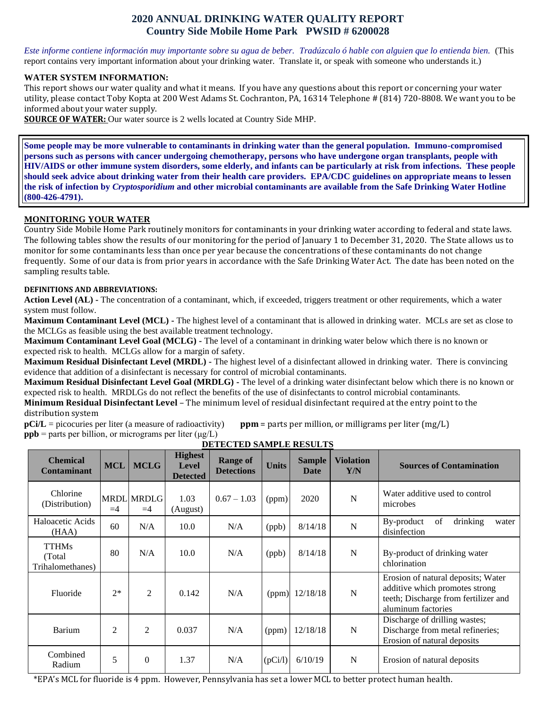# **2020 ANNUAL DRINKING WATER QUALITY REPORT Country Side Mobile Home Park PWSID # 6200028**

*Este informe contiene información muy importante sobre su agua de beber. Tradúzcalo ó hable con alguien que lo entienda bien.* (This report contains very important information about your drinking water. Translate it, or speak with someone who understands it.)

#### **WATER SYSTEM INFORMATION:**

This report shows our water quality and what it means. If you have any questions about this report or concerning your water utility, please contact Toby Kopta at 200 West Adams St. Cochranton, PA, 16314 Telephone # (814) 720-8808. We want you to be informed about your water supply.

**SOURCE OF WATER:** Our water source is 2 wells located at Country Side MHP.

**Some people may be more vulnerable to contaminants in drinking water than the general population. Immuno-compromised persons such as persons with cancer undergoing chemotherapy, persons who have undergone organ transplants, people with HIV/AIDS or other immune system disorders, some elderly, and infants can be particularly at risk from infections. These people should seek advice about drinking water from their health care providers. EPA/CDC guidelines on appropriate means to lessen the risk of infection by** *Cryptosporidium* **and other microbial contaminants are available from the Safe Drinking Water Hotline (800-426-4791).**

### **MONITORING YOUR WATER**

Country Side Mobile Home Park routinely monitors for contaminants in your drinking water according to federal and state laws. The following tables show the results of our monitoring for the period of January 1 to December 31, 2020. The State allows us to monitor for some contaminants less than once per year because the concentrations of these contaminants do not change frequently. Some of our data is from prior years in accordance with the Safe Drinking Water Act. The date has been noted on the sampling results table.

#### **DEFINITIONS AND ABBREVIATIONS:**

**Action Level (AL) -** The concentration of a contaminant, which, if exceeded, triggers treatment or other requirements, which a water system must follow.

**Maximum Contaminant Level (MCL) -** The highest level of a contaminant that is allowed in drinking water. MCLs are set as close to the MCLGs as feasible using the best available treatment technology.

**Maximum Contaminant Level Goal (MCLG) -** The level of a contaminant in drinking water below which there is no known or expected risk to health. MCLGs allow for a margin of safety.

**Maximum Residual Disinfectant Level (MRDL) -** The highest level of a disinfectant allowed in drinking water. There is convincing evidence that addition of a disinfectant is necessary for control of microbial contaminants.

**Maximum Residual Disinfectant Level Goal (MRDLG) -** The level of a drinking water disinfectant below which there is no known or expected risk to health. MRDLGs do not reflect the benefits of the use of disinfectants to control microbial contaminants.

**Minimum Residual Disinfectant Level** – The minimum level of residual disinfectant required at the entry point to the distribution system

**pCi/L** = picocuries per liter (a measure of radioactivity) **ppm** = parts per million, or milligrams per liter (mg/L) **ppb** = parts per billion, or micrograms per liter  $(\mu g/L)$ 

| <b>Chemical</b><br><b>Contaminant</b>       | <b>MCL</b>     | <b>MCLG</b>        | <b>Highest</b><br><b>Level</b><br><b>Detected</b> | <b>Range of</b><br><b>Detections</b> | <b>Units</b> | <b>Sample</b><br><b>Date</b> | <b>Violation</b><br>Y/N | <b>Sources of Contamination</b>                                                                                                    |
|---------------------------------------------|----------------|--------------------|---------------------------------------------------|--------------------------------------|--------------|------------------------------|-------------------------|------------------------------------------------------------------------------------------------------------------------------------|
| Chlorine<br>(Distribution)                  | $=4$           | MRDL MRDLG<br>$=4$ | 1.03<br>(August)                                  | $0.67 - 1.03$                        | (ppm)        | 2020                         | $\mathbf N$             | Water additive used to control<br>microbes                                                                                         |
| Haloacetic Acids<br>(HAA)                   | 60             | N/A                | 10.0                                              | N/A                                  | (ppb)        | 8/14/18                      | $\mathbf N$             | drinking<br>By-product<br>of<br>water<br>disinfection                                                                              |
| <b>TTHMs</b><br>(Total)<br>Trihalomethanes) | 80             | N/A                | 10.0                                              | N/A                                  | (ppb)        | 8/14/18                      | $\mathbf N$             | By-product of drinking water<br>chlorination                                                                                       |
| Fluoride                                    | $2*$           | 2                  | 0.142                                             | N/A                                  | (ppm)        | 12/18/18                     | N                       | Erosion of natural deposits; Water<br>additive which promotes strong<br>teeth; Discharge from fertilizer and<br>aluminum factories |
| Barium                                      | $\overline{2}$ | 2                  | 0.037                                             | N/A                                  | (ppm)        | 12/18/18                     | $\mathbf N$             | Discharge of drilling wastes;<br>Discharge from metal refineries;<br>Erosion of natural deposits                                   |
| Combined<br>Radium                          | 5              | $\theta$           | 1.37                                              | N/A                                  | (pCi/l)      | 6/10/19                      | $\mathbf N$             | Erosion of natural deposits                                                                                                        |

**DETECTED SAMPLE RESULTS**

\*EPA's MCL for fluoride is 4 ppm. However, Pennsylvania has set a lower MCL to better protect human health.